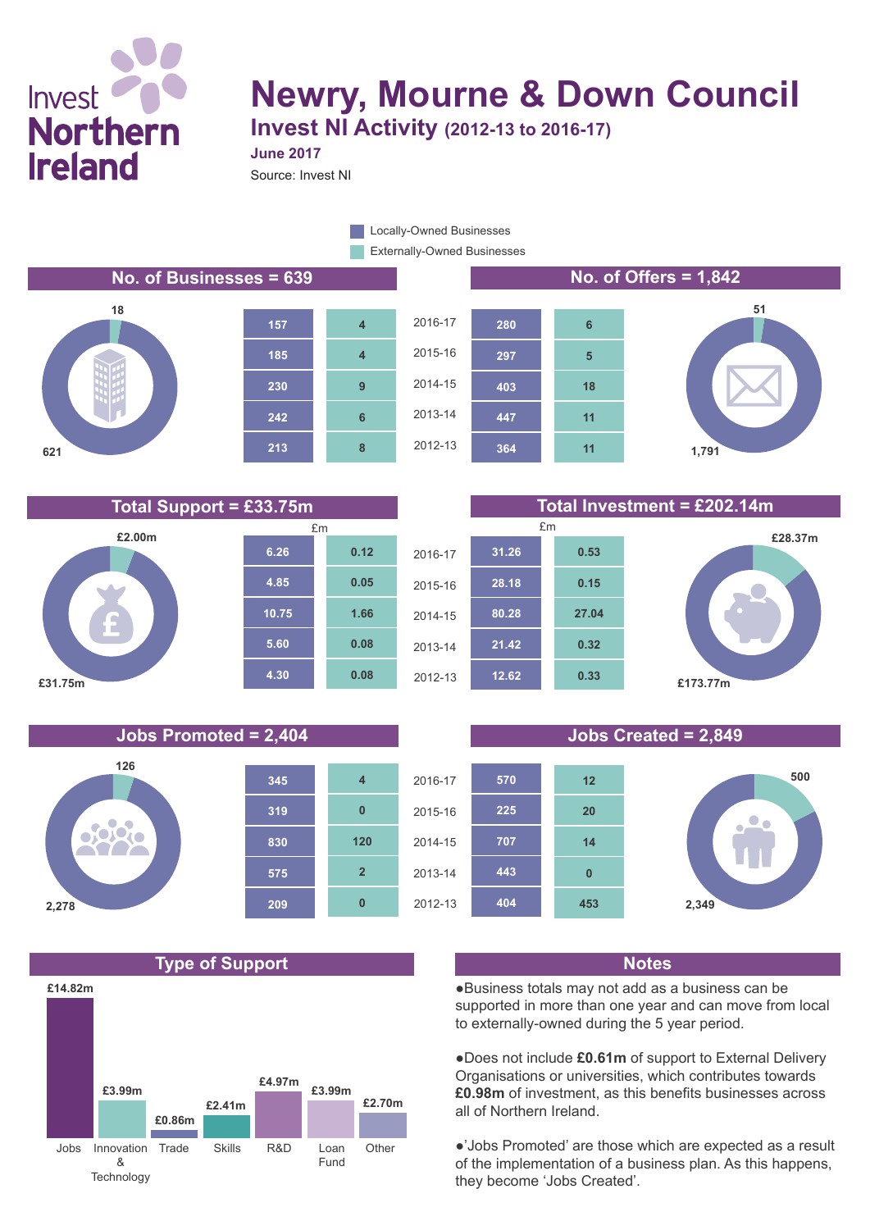## Invest **Northern Ireland**

## **Newry, Mourne & Down Council Invest NI Activity (2012-13 to 2016-17)**

**June 2017**

Source: Invest NI

Externally-Owned Businesses **Locally-Owned Businesses** 

**No. of Businesses = 639 No. of Offers = 1,842**





**12.62**

2012-13

**21.42**







**0.33**

**0.32**

# **£28.37m £173.77m**









●Business totals may not add as a business can be supported in more than one year and can move from local to externally-owned during the 5 year period.

●Does not include **£0.61m** of support to External Delivery Organisations or universities, which contributes towards **£0.98m** of investment, as this benefits businesses across all of Northern Ireland.

●'Jobs Promoted' are those which are expected as a result of the implementation of a business plan. As this happens, they become 'Jobs Created'.